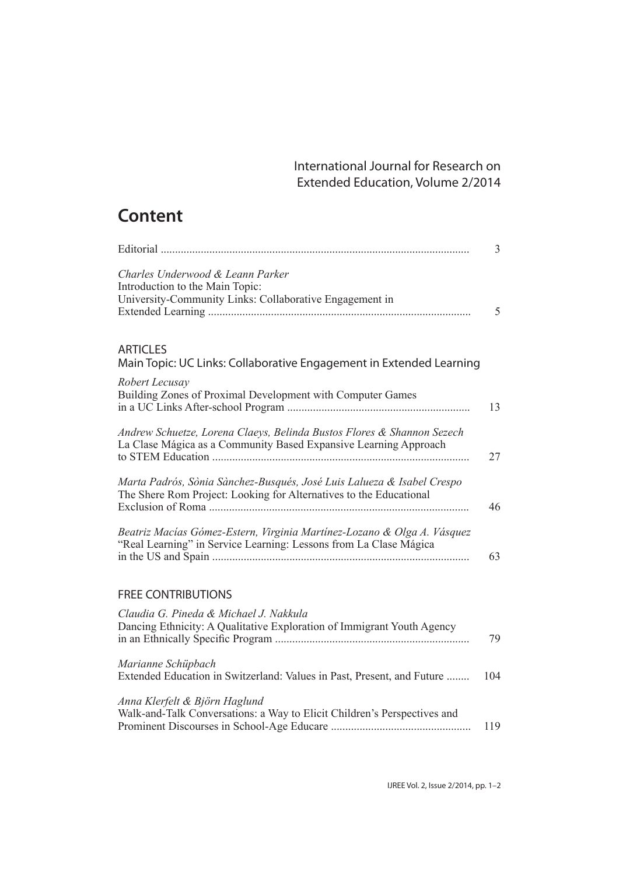## International Journal for Research on Extended Education, Volume 2/2014

## **Content**

|                                                                                                                                                    | $\overline{3}$ |
|----------------------------------------------------------------------------------------------------------------------------------------------------|----------------|
| Charles Underwood & Leann Parker<br>Introduction to the Main Topic:<br>University-Community Links: Collaborative Engagement in                     | 5              |
| <b>ARTICLES</b><br>Main Topic: UC Links: Collaborative Engagement in Extended Learning                                                             |                |
| Robert Lecusay<br>Building Zones of Proximal Development with Computer Games                                                                       | 13             |
| Andrew Schuetze, Lorena Claeys, Belinda Bustos Flores & Shannon Sezech<br>La Clase Mágica as a Community Based Expansive Learning Approach<br>27   |                |
| Marta Padrós, Sònia Sànchez-Busqués, José Luis Lalueza & Isabel Crespo<br>The Shere Rom Project: Looking for Alternatives to the Educational<br>46 |                |
| Beatriz Macías Gómez-Estern, Virginia Martínez-Lozano & Olga A. Vásquez<br>"Real Learning" in Service Learning: Lessons from La Clase Mágica<br>63 |                |
| <b>FREE CONTRIBUTIONS</b>                                                                                                                          |                |
| Claudia G. Pineda & Michael J. Nakkula<br>Dancing Ethnicity: A Qualitative Exploration of Immigrant Youth Agency<br>79                             |                |
| Marianne Schüpbach<br>Extended Education in Switzerland: Values in Past, Present, and Future<br>104                                                |                |
| Anna Klerfelt & Björn Haglund<br>Walk-and-Talk Conversations: a Way to Elicit Children's Perspectives and<br>119                                   |                |